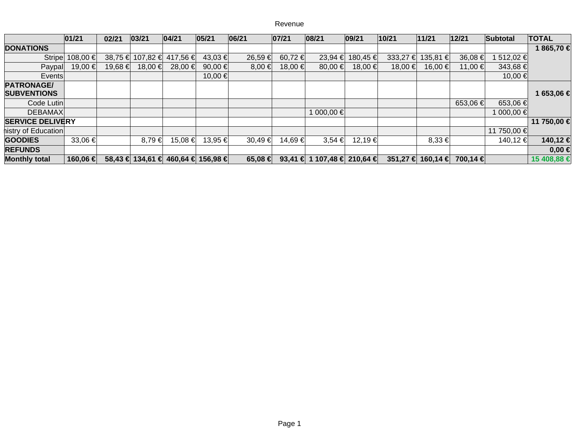## Revenue

|                                         | 01/21             | 02/21   | 03/21   | 04/21                              | 05/21   | 06/21            | 07/21   | 08/21                       | 09/21            | 10/21        | 11/21                       | 12/21    | Subtotal    | <b>TOTAL</b> |
|-----------------------------------------|-------------------|---------|---------|------------------------------------|---------|------------------|---------|-----------------------------|------------------|--------------|-----------------------------|----------|-------------|--------------|
| <b>DONATIONS</b>                        |                   |         |         |                                    |         |                  |         |                             |                  |              |                             |          |             | 1865,70€     |
|                                         | Stripe 108,00 €   |         |         | 38,75 € 107,82 € 417,56 €          | 43,03 € | 26,59€           | 60,72 € |                             | 23,94 € 180,45 € | $333,27 \in$ | 135,81 $\epsilon$           | 36,08€   | 1512,02€    |              |
| Paypal                                  | 19,00 €           | 19,68 € | 18,00 € | 28,00 €                            | 90,00 € | 8,00€            | 18,00 € | 80,00 €                     | 18,00 €          | 18,00 €      | 16,00 €                     | 11,00 €  | 343,68 €    |              |
| Events                                  |                   |         |         |                                    | 10,00 € |                  |         |                             |                  |              |                             |          | 10,00 €     |              |
| <b>PATRONAGE/</b><br><b>SUBVENTIONS</b> |                   |         |         |                                    |         |                  |         |                             |                  |              |                             |          |             | 1 653,06 €   |
| Code Lutin                              |                   |         |         |                                    |         |                  |         |                             |                  |              |                             | 653,06€  | 653,06 €    |              |
| <b>DEBAMAX</b>                          |                   |         |         |                                    |         |                  |         | 1 000,00 €                  |                  |              |                             |          | 1 000,00 €  |              |
| <b>SERVICE DELIVERY</b>                 |                   |         |         |                                    |         |                  |         |                             |                  |              |                             |          |             | 11 750,00 €  |
| histry of Education                     |                   |         |         |                                    |         |                  |         |                             |                  |              |                             |          | 11 750,00 € |              |
| <b>GOODIES</b>                          | 33,06 €           |         | 8,79€   | 15,08 €                            | 13,95 € | 30,49€           | 14,69€  | $3.54 \epsilon$             | 12,19€           |              | 8,33€                       |          | 140,12 €    | 140,12 €     |
| <b>REFUNDS</b>                          |                   |         |         |                                    |         |                  |         |                             |                  |              |                             |          |             | $0,00 \in$   |
| <b>Monthly total</b>                    | 160,06 $\epsilon$ |         |         | 58,43 € 134,61 € 460,64 € 156,98 € |         | 65,08 $\epsilon$ |         | 93,41 € 1 107,48 € 210,64 € |                  |              | $351,27 \in   160,14 \in  $ | 700,14 € |             | 15 408,88 €  |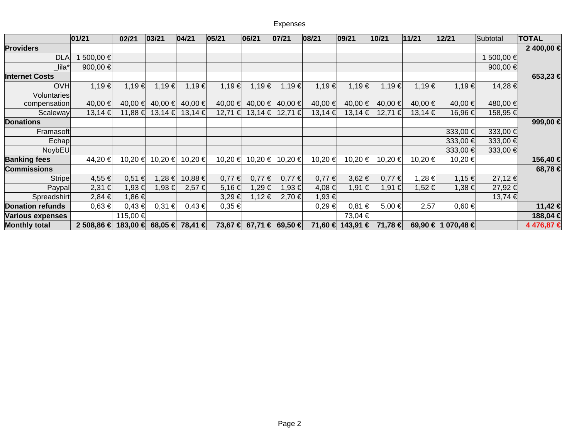|                         | 01/21      | 02/21                    | 03/21       | 04/21       | 05/21       | 06/21         | 07/21      | 08/21   | 09/21            | 10/21         | 11/21   | 12/21              | Subtotal     | <b>TOTAL</b> |
|-------------------------|------------|--------------------------|-------------|-------------|-------------|---------------|------------|---------|------------------|---------------|---------|--------------------|--------------|--------------|
| <b>Providers</b>        |            |                          |             |             |             |               |            |         |                  |               |         |                    |              | 2 400,00 €   |
| <b>DLA</b>              | 1 500,00 € |                          |             |             |             |               |            |         |                  |               |         |                    | 1 500,00 €   |              |
| lila*                   | 900,00 €   |                          |             |             |             |               |            |         |                  |               |         |                    | 900,00 $\in$ |              |
| <b>Internet Costs</b>   |            |                          |             |             |             |               |            |         |                  |               |         |                    |              | 653,23€      |
| <b>OVH</b>              | 1,19€      | 1,19€                    | 1,19€       | 1,19€       | 1,19€       | 1,19€         | 1,19€      | 1,19€   | 1,19€            | $1,19 \in$    | 1,19€   | 1,19€              | 14,28€       |              |
| <b>Voluntaries</b>      |            |                          |             |             |             |               |            |         |                  |               |         |                    |              |              |
| compensation            | 40,00€     | 40,00 €                  | 40,00 €     | 40,00 €     | 40,00 €     | 40,00 €       | 40,00€     | 40,00 € | 40,00€           | 40,00 €       | 40,00 € | 40,00 €            | 480,00 €     |              |
| Scaleway                | 13,14€     | 11,88 €                  | $13,14 \in$ | $13,14 \in$ | $12,71 \in$ | 13,14€        | 12,71€     | 13,14€  | 13,14€           | 12,71€        | 13,14€  | 16,96€             | 158,95€      |              |
| <b>Donations</b>        |            |                          |             |             |             |               |            |         |                  |               |         |                    |              | 999,00€      |
| Framasoft               |            |                          |             |             |             |               |            |         |                  |               |         | 333,00 €           | 333,00 €     |              |
| Echap                   |            |                          |             |             |             |               |            |         |                  |               |         | 333,00 €           | 333,00 €     |              |
| NoybEU                  |            |                          |             |             |             |               |            |         |                  |               |         | 333,00 €           | 333,00 €     |              |
| <b>Banking fees</b>     | 44,20€     | 10,20 €                  | 10,20 €     | 10,20 €     | 10,20 €     | 10,20 €       | 10,20€     | 10,20€  | 10,20€           | 10,20 €       | 10,20 € | 10,20€             |              | 156,40€      |
| <b>Commissions</b>      |            |                          |             |             |             |               |            |         |                  |               |         |                    |              | 68,78€       |
| Stripe                  | 4,55€      | $0,51 \in$               | $1,28 \in$  | 10,88€      | $0,77 \in$  | $0,77 \notin$ | $0,77 \in$ | 0,77€   | 3,62€            | $0,77 \notin$ | 1,28€   | $1,15 \in$         | 27,12€       |              |
| Paypal                  | 2,31€      | 1,93 €                   | 1,93 €      | 2,57 €      | $5,16 \in$  | 1,29€         | 1,93€      | 4,08€   | 1,91€            | $1,91 \in$    | 1,52€   | 1,38€              | 27,92 €      |              |
| Spreadshirt             | 2,84€      | $1,86 \in$               |             |             | 3,29€       | 1,12€         | 2,70€      | 1,93€   |                  |               |         |                    | 13,74 €      |              |
| <b>Donation refunds</b> | $0,63 \in$ | 0,43 €                   | $0,31 \in$  | 0,43€       | $0,35 \in$  |               |            | 0,29€   | $0,81 \in$       | 5,00 €        | 2,57    | $0,60 \in$         |              | 11,42€       |
| <b>Various expenses</b> |            | 115,00 €                 |             |             |             |               |            |         | 73,04€           |               |         |                    |              | 188,04€      |
| <b>Monthly total</b>    | 2 508,86 € | 183,00 € 68,05 € 78,41 € |             |             | 73,67 €     | 67,71 €       | 69,50 €    |         | 71,60 € 143,91 € | 71,78 €       |         | 69,90 € 1 070,48 € |              | 4476,87€     |